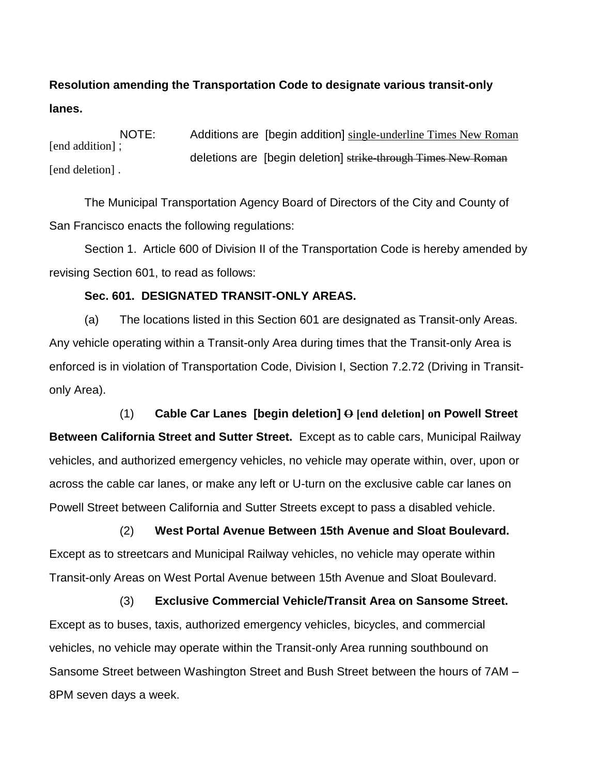# **Resolution amending the Transportation Code to designate various transit-only lanes.**

NOTE: Additions are [begin addition] single-underline Times New Roman [end addition] : deletions are [begin deletion] strike-through Times New Roman [end deletion].

The Municipal Transportation Agency Board of Directors of the City and County of San Francisco enacts the following regulations:

Section 1. Article 600 of Division II of the Transportation Code is hereby amended by revising Section 601, to read as follows:

#### **Sec. 601. DESIGNATED TRANSIT-ONLY AREAS.**

(a) The locations listed in this Section 601 are designated as Transit-only Areas. Any vehicle operating within a Transit-only Area during times that the Transit-only Area is enforced is in violation of Transportation Code, Division I, Section 7.2.72 (Driving in Transitonly Area).

(1) **Cable Car Lanes [begin deletion] O [end deletion] on Powell Street Between California Street and Sutter Street.** Except as to cable cars, Municipal Railway vehicles, and authorized emergency vehicles, no vehicle may operate within, over, upon or across the cable car lanes, or make any left or U-turn on the exclusive cable car lanes on Powell Street between California and Sutter Streets except to pass a disabled vehicle.

(2) **West Portal Avenue Between 15th Avenue and Sloat Boulevard.** Except as to streetcars and Municipal Railway vehicles, no vehicle may operate within Transit-only Areas on West Portal Avenue between 15th Avenue and Sloat Boulevard.

(3) **Exclusive Commercial Vehicle/Transit Area on Sansome Street.** Except as to buses, taxis, authorized emergency vehicles, bicycles, and commercial vehicles, no vehicle may operate within the Transit-only Area running southbound on Sansome Street between Washington Street and Bush Street between the hours of 7AM – 8PM seven days a week.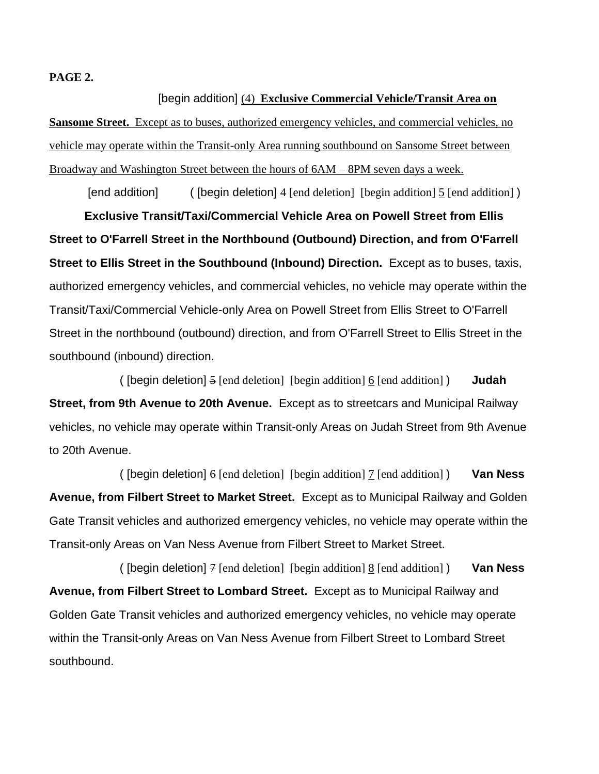#### **PAGE 2.**

[begin addition] (4) **Exclusive Commercial Vehicle/Transit Area on Sansome Street.** Except as to buses, authorized emergency vehicles, and commercial vehicles, no vehicle may operate within the Transit-only Area running southbound on Sansome Street between Broadway and Washington Street between the hours of 6AM – 8PM seven days a week.

[end addition] ([begin deletion] 4 [end deletion] [begin addition]  $\frac{5}{2}$  [end addition]) **Exclusive Transit/Taxi/Commercial Vehicle Area on Powell Street from Ellis Street to O'Farrell Street in the Northbound (Outbound) Direction, and from O'Farrell Street to Ellis Street in the Southbound (Inbound) Direction.** Except as to buses, taxis, authorized emergency vehicles, and commercial vehicles, no vehicle may operate within the Transit/Taxi/Commercial Vehicle-only Area on Powell Street from Ellis Street to O'Farrell Street in the northbound (outbound) direction, and from O'Farrell Street to Ellis Street in the southbound (inbound) direction.

( [begin deletion] 5 [end deletion] [begin addition] 6 [end addition] ) **Judah Street, from 9th Avenue to 20th Avenue.** Except as to streetcars and Municipal Railway vehicles, no vehicle may operate within Transit-only Areas on Judah Street from 9th Avenue to 20th Avenue.

( [begin deletion] 6 [end deletion] [begin addition] 7 [end addition] ) **Van Ness Avenue, from Filbert Street to Market Street.** Except as to Municipal Railway and Golden Gate Transit vehicles and authorized emergency vehicles, no vehicle may operate within the Transit-only Areas on Van Ness Avenue from Filbert Street to Market Street.

( [begin deletion] 7 [end deletion] [begin addition] 8 [end addition] ) **Van Ness Avenue, from Filbert Street to Lombard Street.** Except as to Municipal Railway and Golden Gate Transit vehicles and authorized emergency vehicles, no vehicle may operate within the Transit-only Areas on Van Ness Avenue from Filbert Street to Lombard Street southbound.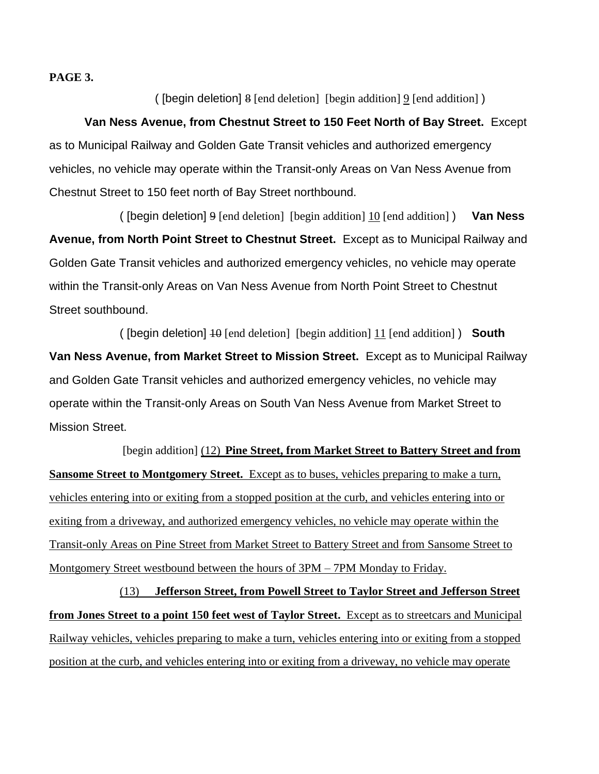**PAGE 3.**

( [begin deletion] 8 [end deletion] [begin addition] 9 [end addition] )

**Van Ness Avenue, from Chestnut Street to 150 Feet North of Bay Street.** Except as to Municipal Railway and Golden Gate Transit vehicles and authorized emergency vehicles, no vehicle may operate within the Transit-only Areas on Van Ness Avenue from Chestnut Street to 150 feet north of Bay Street northbound.

( [begin deletion] 9 [end deletion] [begin addition] 10 [end addition] ) **Van Ness Avenue, from North Point Street to Chestnut Street.** Except as to Municipal Railway and Golden Gate Transit vehicles and authorized emergency vehicles, no vehicle may operate within the Transit-only Areas on Van Ness Avenue from North Point Street to Chestnut Street southbound.

( [begin deletion] 10 [end deletion] [begin addition] 11 [end addition] ) **South Van Ness Avenue, from Market Street to Mission Street.** Except as to Municipal Railway and Golden Gate Transit vehicles and authorized emergency vehicles, no vehicle may operate within the Transit-only Areas on South Van Ness Avenue from Market Street to Mission Street.

[begin addition] (12) **Pine Street, from Market Street to Battery Street and from Sansome Street to Montgomery Street.** Except as to buses, vehicles preparing to make a turn, vehicles entering into or exiting from a stopped position at the curb, and vehicles entering into or exiting from a driveway, and authorized emergency vehicles, no vehicle may operate within the Transit-only Areas on Pine Street from Market Street to Battery Street and from Sansome Street to Montgomery Street westbound between the hours of 3PM – 7PM Monday to Friday.

(13) **Jefferson Street, from Powell Street to Taylor Street and Jefferson Street from Jones Street to a point 150 feet west of Taylor Street.** Except as to streetcars and Municipal Railway vehicles, vehicles preparing to make a turn, vehicles entering into or exiting from a stopped position at the curb, and vehicles entering into or exiting from a driveway, no vehicle may operate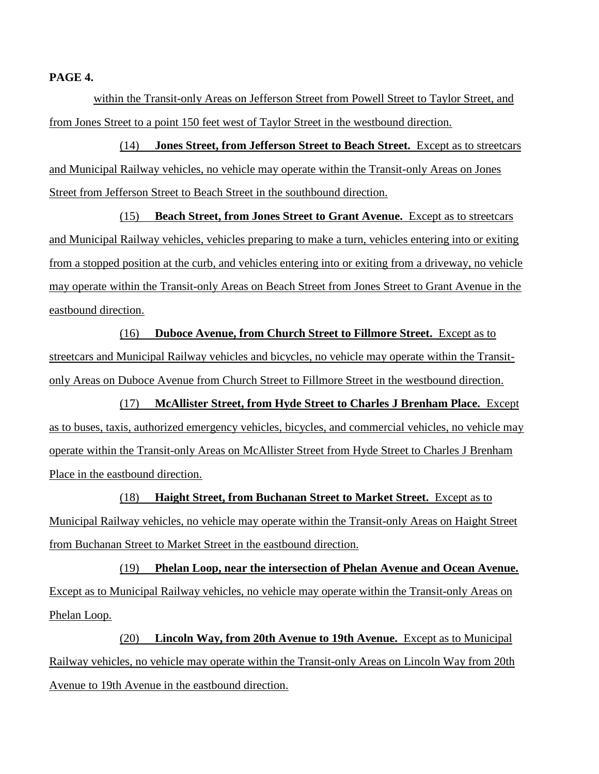**PAGE 4.**

within the Transit-only Areas on Jefferson Street from Powell Street to Taylor Street, and from Jones Street to a point 150 feet west of Taylor Street in the westbound direction.

(14) **Jones Street, from Jefferson Street to Beach Street.** Except as to streetcars and Municipal Railway vehicles, no vehicle may operate within the Transit-only Areas on Jones Street from Jefferson Street to Beach Street in the southbound direction.

(15) **Beach Street, from Jones Street to Grant Avenue.** Except as to streetcars and Municipal Railway vehicles, vehicles preparing to make a turn, vehicles entering into or exiting from a stopped position at the curb, and vehicles entering into or exiting from a driveway, no vehicle may operate within the Transit-only Areas on Beach Street from Jones Street to Grant Avenue in the eastbound direction.

(16) **Duboce Avenue, from Church Street to Fillmore Street.** Except as to streetcars and Municipal Railway vehicles and bicycles, no vehicle may operate within the Transitonly Areas on Duboce Avenue from Church Street to Fillmore Street in the westbound direction.

(17) **McAllister Street, from Hyde Street to Charles J Brenham Place.** Except as to buses, taxis, authorized emergency vehicles, bicycles, and commercial vehicles, no vehicle may operate within the Transit-only Areas on McAllister Street from Hyde Street to Charles J Brenham Place in the eastbound direction.

(18) **Haight Street, from Buchanan Street to Market Street.** Except as to Municipal Railway vehicles, no vehicle may operate within the Transit-only Areas on Haight Street from Buchanan Street to Market Street in the eastbound direction.

(19) **Phelan Loop, near the intersection of Phelan Avenue and Ocean Avenue.** Except as to Municipal Railway vehicles, no vehicle may operate within the Transit-only Areas on Phelan Loop.

(20) **Lincoln Way, from 20th Avenue to 19th Avenue.** Except as to Municipal Railway vehicles, no vehicle may operate within the Transit-only Areas on Lincoln Way from 20th Avenue to 19th Avenue in the eastbound direction.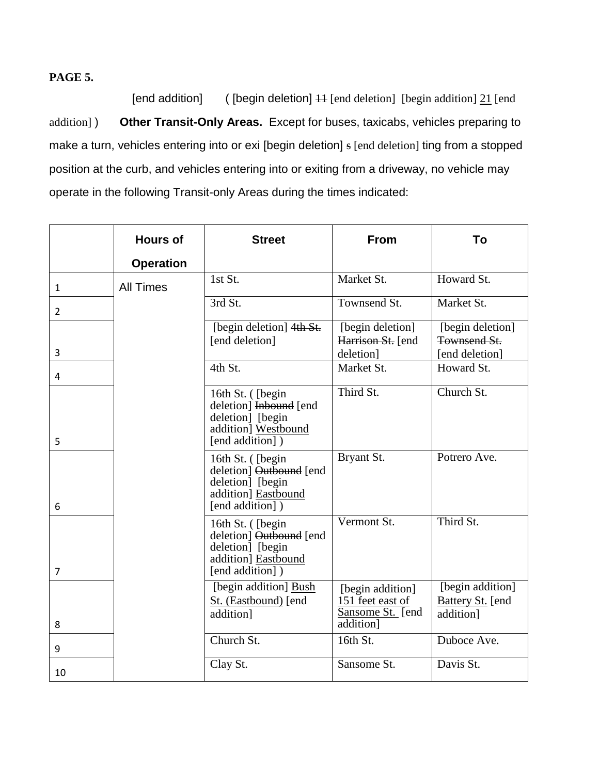# **PAGE 5.**

[end addition] ( [begin deletion] 11 [end deletion] [begin addition] 21 [end addition] ) **Other Transit-Only Areas.** Except for buses, taxicabs, vehicles preparing to make a turn, vehicles entering into or exi [begin deletion] s [end deletion] ting from a stopped position at the curb, and vehicles entering into or exiting from a driveway, no vehicle may operate in the following Transit-only Areas during the times indicated:

|                | <b>Hours of</b>  | <b>Street</b>                                                                                              | From                                                                  | To                                                       |
|----------------|------------------|------------------------------------------------------------------------------------------------------------|-----------------------------------------------------------------------|----------------------------------------------------------|
|                | <b>Operation</b> |                                                                                                            |                                                                       |                                                          |
| $\mathbf{1}$   | <b>All Times</b> | 1st St.                                                                                                    | Market St.                                                            | Howard St.                                               |
| $\overline{2}$ |                  | 3rd St.                                                                                                    | Townsend St.                                                          | Market St.                                               |
| 3              |                  | [begin deletion] 4th St.<br>[end deletion]                                                                 | [begin deletion]<br>Harrison St. [end<br>deletion]                    | [begin deletion]<br>Townsend St.<br>[end deletion]       |
| 4              |                  | 4th St.                                                                                                    | Market St.                                                            | Howard St.                                               |
| 5              |                  | 16th St. ([begin<br>deletion] Inbound [end<br>deletion] [begin<br>addition] Westbound<br>[end addition])   | Third St.                                                             | Church St.                                               |
| 6              |                  | 16th St. ([begin]<br>deletion] Outbound [end<br>deletion] [begin<br>addition] Eastbound<br>[end addition]) | Bryant St.                                                            | Potrero Ave.                                             |
| $\overline{7}$ |                  | 16th St. ([begin]<br>deletion] Outbound [end<br>deletion] [begin<br>addition] Eastbound<br>[end addition]) | Vermont St.                                                           | Third St.                                                |
| 8              |                  | [begin addition] Bush<br>St. (Eastbound) [end<br>addition]                                                 | [begin addition]<br>151 feet east of<br>Sansome St. [end<br>addition] | [begin addition]<br><b>Battery St.</b> [end<br>addition] |
| 9              |                  | Church St.                                                                                                 | 16th St.                                                              | Duboce Ave.                                              |
| 10             |                  | Clay St.                                                                                                   | Sansome St.                                                           | Davis St.                                                |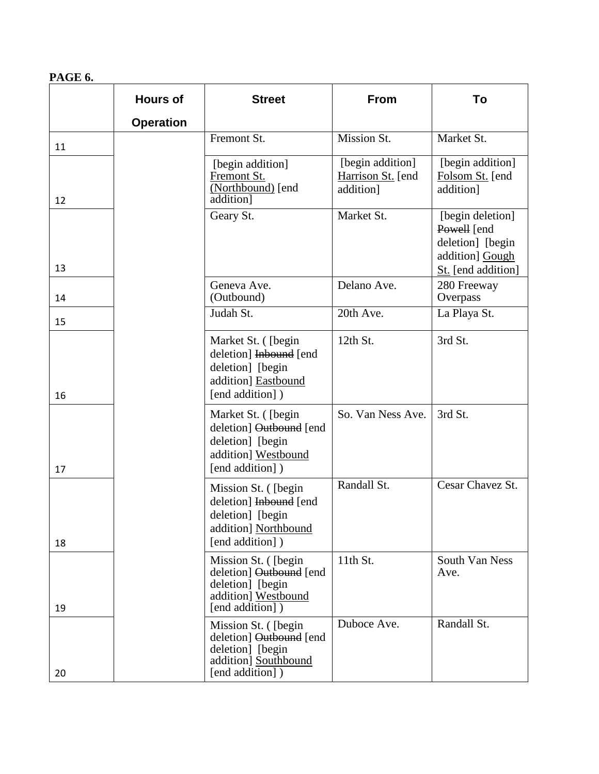# **PAGE 6.**

|    | <b>Hours of</b>  | <b>Street</b>                                                                                                  | <b>From</b>                                        | To                                                                                           |
|----|------------------|----------------------------------------------------------------------------------------------------------------|----------------------------------------------------|----------------------------------------------------------------------------------------------|
|    | <b>Operation</b> |                                                                                                                |                                                    |                                                                                              |
| 11 |                  | Fremont St.                                                                                                    | Mission St.                                        | Market St.                                                                                   |
| 12 |                  | [begin addition]<br>Fremont St.<br>(Northbound) [end<br>addition]                                              | [begin addition]<br>Harrison St. [end<br>addition] | [begin addition]<br>Folsom St. [end<br>addition]                                             |
| 13 |                  | Geary St.                                                                                                      | Market St.                                         | [begin deletion]<br>Powell [end<br>deletion] [begin<br>addition] Gough<br>St. [end addition] |
| 14 |                  | Geneva Ave.<br>(Outbound)                                                                                      | Delano Ave.                                        | 280 Freeway<br>Overpass                                                                      |
| 15 |                  | Judah St.                                                                                                      | 20th Ave.                                          | La Playa St.                                                                                 |
| 16 |                  | Market St. ([begin]<br>deletion] Inbound [end<br>deletion] [begin<br>addition] Eastbound<br>[end addition])    | 12th St.                                           | 3rd St.                                                                                      |
| 17 |                  | Market St. ([begin<br>deletion] Outbound [end<br>deletion] [begin<br>addition] Westbound<br>[end addition])    | So. Van Ness Ave.                                  | 3rd St.                                                                                      |
| 18 |                  | Mission St. ([begin]<br>deletion] Inbound [end<br>deletion] [begin<br>addition] Northbound<br>[end addition])  | Randall St.                                        | Cesar Chavez St.                                                                             |
| 19 |                  | Mission St. ([begin]<br>deletion] Outbound [end<br>deletion] [begin<br>addition] Westbound<br>[end addition])  | 11th St.                                           | South Van Ness<br>Ave.                                                                       |
| 20 |                  | Mission St. ([begin]<br>deletion] Outbound [end<br>deletion] [begin<br>addition] Southbound<br>[end addition]) | Duboce Ave.                                        | Randall St.                                                                                  |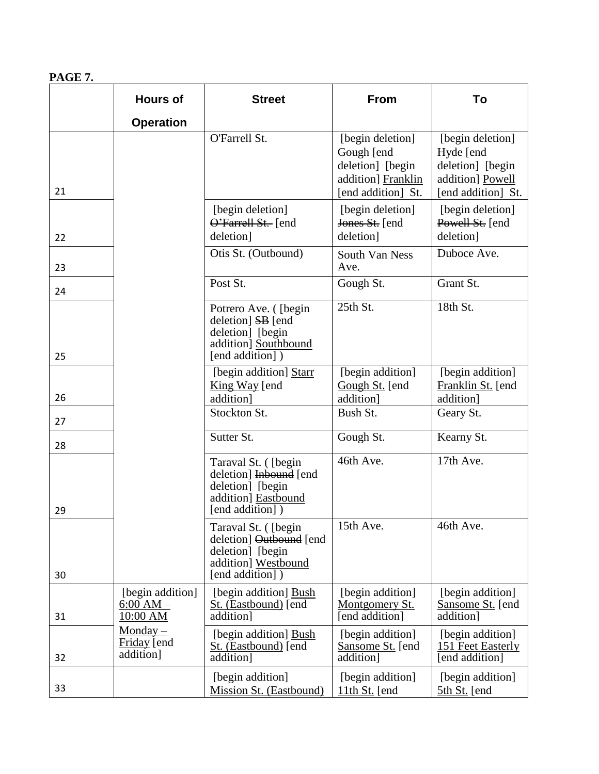# **PAGE 7.**

|    | <b>Hours of</b>                             | <b>Street</b>                                                                                                | <b>From</b>                                                                                    | To                                                                                          |
|----|---------------------------------------------|--------------------------------------------------------------------------------------------------------------|------------------------------------------------------------------------------------------------|---------------------------------------------------------------------------------------------|
|    | <b>Operation</b>                            |                                                                                                              |                                                                                                |                                                                                             |
| 21 |                                             | O'Farrell St.                                                                                                | [begin deletion]<br>Gough [end<br>deletion] [begin<br>addition] Franklin<br>[end addition] St. | [begin deletion]<br>Hyde [end<br>deletion] [begin<br>addition] Powell<br>[end addition] St. |
| 22 |                                             | [begin deletion]<br>O'Farrell St. [end<br>deletion]                                                          | [begin deletion]<br>Jones St. [end<br>deletion]                                                | [begin deletion]<br>Powell St. [end<br>deletion]                                            |
| 23 |                                             | Otis St. (Outbound)                                                                                          | South Van Ness<br>Ave.                                                                         | Duboce Ave.                                                                                 |
| 24 |                                             | Post St.                                                                                                     | Gough St.                                                                                      | Grant St.                                                                                   |
| 25 |                                             | Potrero Ave. ([begin]<br>deletion] SB [end<br>deletion] [begin<br>addition] Southbound<br>[end addition])    | 25th St.                                                                                       | 18th St.                                                                                    |
| 26 |                                             | [begin addition] Starr<br>King Way [end]<br>addition]                                                        | [begin addition]<br>Gough St. [end]<br>addition]                                               | [begin addition]<br>Franklin St. [end<br>addition]                                          |
| 27 |                                             | Stockton St.                                                                                                 | Bush St.                                                                                       | Geary St.                                                                                   |
| 28 |                                             | Sutter St.                                                                                                   | Gough St.                                                                                      | Kearny St.                                                                                  |
| 29 |                                             | Taraval St. ([begin]<br>deletion] Inbound [end<br>deletion] [begin<br>addition] Eastbound<br>[end addition]) | 46th Ave.                                                                                      | 17th Ave.                                                                                   |
| 30 |                                             | Taraval St. ([begin<br>deletion] Outbound [end<br>deletion] [begin<br>addition] Westbound<br>[end addition]) | 15th Ave.                                                                                      | 46th Ave.                                                                                   |
| 31 | [begin addition]<br>$6:00 AM -$<br>10:00 AM | [begin addition] Bush<br>St. (Eastbound) [end<br>addition]                                                   | [begin addition]<br>Montgomery St.<br>[end addition]                                           | [begin addition]<br>Sansome St. [end]<br>addition]                                          |
| 32 | Monday $-$<br>Friday [end<br>addition]      | [begin addition] Bush<br>St. (Eastbound) [end<br>addition]                                                   | [begin addition]<br>Sansome St. [end<br>addition]                                              | [begin addition]<br>151 Feet Easterly<br>[end addition]                                     |
| 33 |                                             | [begin addition]<br>Mission St. (Eastbound)                                                                  | [begin addition]<br>11th St. [end                                                              | [begin addition]<br>5th St. [end]                                                           |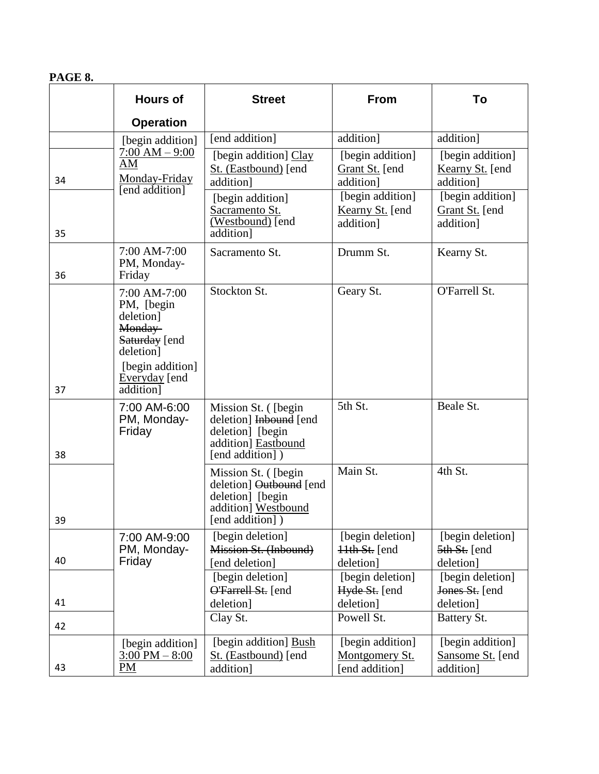#### **PAGE 8.**

|    | <b>Hours of</b>                                                                                                        | <b>Street</b>                                                                                                 | <b>From</b>                                               | To                                                              |
|----|------------------------------------------------------------------------------------------------------------------------|---------------------------------------------------------------------------------------------------------------|-----------------------------------------------------------|-----------------------------------------------------------------|
|    | <b>Operation</b>                                                                                                       |                                                                                                               |                                                           |                                                                 |
|    | [begin addition]                                                                                                       | [end addition]                                                                                                | addition]                                                 | addition]                                                       |
| 34 | $7:00 AM - 9:00$<br>AM<br>Monday-Friday<br>[end addition]                                                              | [begin addition] Clay<br>St. (Eastbound) [end<br>addition]                                                    | [begin addition]<br>Grant St. [end<br>addition]           | [begin addition]<br>Kearny St. [end<br>addition]                |
| 35 |                                                                                                                        | [begin addition]<br>Sacramento St.<br>(Westbound) [end<br>addition]                                           | [begin addition]<br>Kearny St. [end<br>addition]          | [begin addition]<br>Grant St. [end<br>addition]                 |
| 36 | 7:00 AM-7:00<br>PM, Monday-<br>Friday                                                                                  | Sacramento St.                                                                                                | Drumm St.                                                 | Kearny St.                                                      |
|    | 7:00 AM-7:00<br>PM, [begin]<br>deletion]<br>Monday-<br>Saturday [end<br>deletion]<br>[begin addition]<br>Everyday [end | Stockton St.                                                                                                  | Geary St.                                                 | O'Farrell St.                                                   |
| 37 | addition]                                                                                                              |                                                                                                               |                                                           |                                                                 |
| 38 | 7:00 AM-6:00<br>PM, Monday-<br>Friday                                                                                  | Mission St. ([begin<br>deletion] Inbound [end<br>deletion] [begin<br>addition] Eastbound<br>[end addition])   | 5th St.                                                   | Beale St.                                                       |
| 39 |                                                                                                                        | Mission St. ([begin]<br>deletion] Outbound [end<br>deletion] [begin<br>addition] Westbound<br>[end addition]) | Main St.                                                  | 4th St.                                                         |
| 40 | 7:00 AM-9:00<br>PM, Monday-<br>Friday                                                                                  | [begin deletion]<br>Mission St. (Inbound)<br>end deletion]                                                    | [begin deletion]<br>$\frac{11}{11}$ St. [end<br>deletion] | [begin deletion]<br>$\frac{5\text{th }St}{1}$ [end<br>deletion] |
| 41 |                                                                                                                        | [begin deletion]<br><b>O'Farrell St.</b> [end<br>deletion]                                                    | [begin deletion]<br>Hyde St. [end<br>deletion]            | [begin deletion]<br>Jones St. [end<br>deletion]                 |
| 42 |                                                                                                                        | Clay St.                                                                                                      | Powell St.                                                | Battery St.                                                     |
| 43 | [begin addition]<br>$3:00 \text{ PM} - 8:00$<br>PM                                                                     | [begin addition] Bush<br>St. (Eastbound) [end<br>addition]                                                    | [begin addition]<br>Montgomery St.<br>[end addition]      | [begin addition]<br>Sansome St. [end<br>addition]               |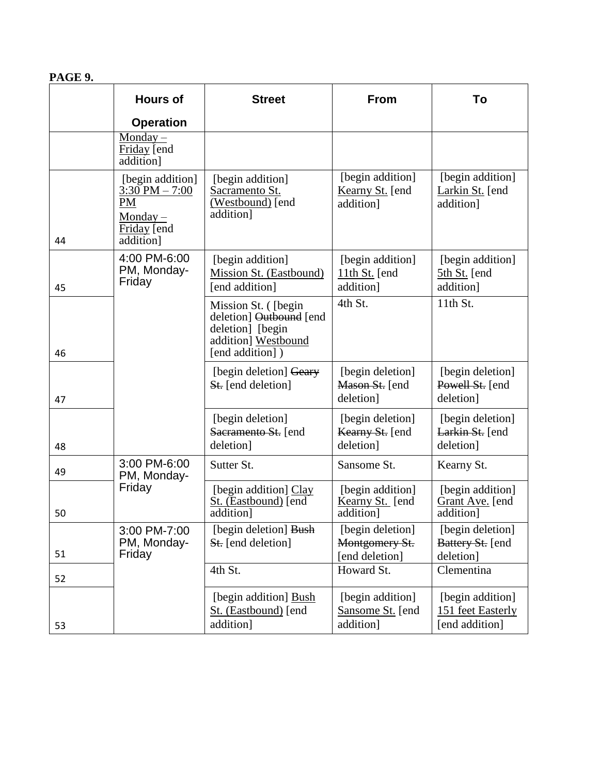# **PAGE 9.**

|    | <b>Hours of</b>                                                                        | <b>Street</b>                                                                                                 | From                                                 | To                                                      |
|----|----------------------------------------------------------------------------------------|---------------------------------------------------------------------------------------------------------------|------------------------------------------------------|---------------------------------------------------------|
|    | <b>Operation</b>                                                                       |                                                                                                               |                                                      |                                                         |
|    | Monday $-$<br>Friday [end<br>addition]                                                 |                                                                                                               |                                                      |                                                         |
| 44 | [begin addition]<br>$3:30$ PM $- 7:00$<br>PM<br>$Monday -$<br>Friday [end<br>addition] | [begin addition]<br>Sacramento St.<br>$\overline{\text{(Westbound)}}$ [end<br>addition]                       | [begin addition]<br>Kearny St. [end<br>addition]     | [begin addition]<br>Larkin St. [end<br>addition]        |
| 45 | 4:00 PM-6:00<br>PM, Monday-<br>Friday                                                  | [begin addition]<br>Mission St. (Eastbound)<br>[end addition]                                                 | [begin addition]<br>$11th St.$ [end<br>addition]     | [begin addition]<br>5th St. [end<br>addition]           |
| 46 |                                                                                        | Mission St. ([begin]<br>deletion] Outbound [end<br>deletion] [begin<br>addition] Westbound<br>[end addition]) | 4th St.                                              | 11th St.                                                |
| 47 |                                                                                        | [begin deletion] Geary<br><b>St.</b> [end deletion]                                                           | [begin deletion]<br>Mason St. [end<br>deletion]      | [begin deletion]<br>Powell St. [end<br>deletion]        |
| 48 |                                                                                        | [begin deletion]<br>Sacramento St. [end<br>deletion]                                                          | [begin deletion]<br>Kearny St. [end<br>deletion]     | [begin deletion]<br>Larkin St. [end<br>deletion]        |
| 49 | 3:00 PM-6:00<br>PM, Monday-                                                            | Sutter St.                                                                                                    | Sansome St.                                          | Kearny St.                                              |
| 50 | Friday                                                                                 | [begin addition] Clay<br>St. (Eastbound) [end]<br>addition]                                                   | [begin addition]<br>Kearny St. [end<br>addition]     | [begin addition]<br>Grant Ave. [end<br>addition]        |
| 51 | 3:00 PM-7:00<br>PM, Monday-<br>Friday                                                  | [begin deletion] Bush<br><b>St.</b> [end deletion]                                                            | [begin deletion]<br>Montgomery St.<br>[end deletion] | [begin deletion]<br>Battery St. [end<br>deletion]       |
| 52 |                                                                                        | 4th St.                                                                                                       | Howard St.                                           | Clementina                                              |
| 53 |                                                                                        | [begin addition] Bush<br>St. (Eastbound) [end<br>addition]                                                    | [begin addition]<br>Sansome St. [end<br>addition]    | [begin addition]<br>151 feet Easterly<br>[end addition] |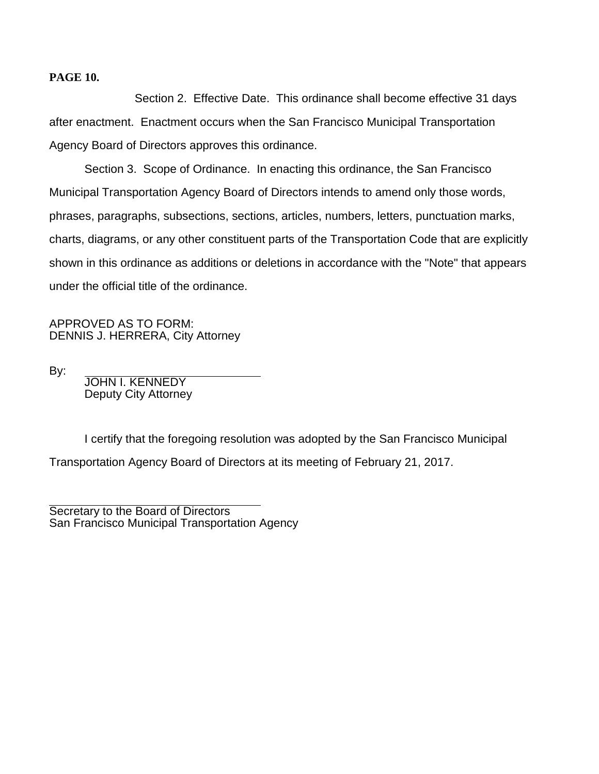#### **PAGE 10.**

Section 2. Effective Date. This ordinance shall become effective 31 days after enactment. Enactment occurs when the San Francisco Municipal Transportation Agency Board of Directors approves this ordinance.

Section 3. Scope of Ordinance. In enacting this ordinance, the San Francisco Municipal Transportation Agency Board of Directors intends to amend only those words, phrases, paragraphs, subsections, sections, articles, numbers, letters, punctuation marks, charts, diagrams, or any other constituent parts of the Transportation Code that are explicitly shown in this ordinance as additions or deletions in accordance with the "Note" that appears under the official title of the ordinance.

APPROVED AS TO FORM: DENNIS J. HERRERA, City Attorney

By:

JOHN I. KENNEDY Deputy City Attorney

I certify that the foregoing resolution was adopted by the San Francisco Municipal Transportation Agency Board of Directors at its meeting of February 21, 2017.

Secretary to the Board of Directors San Francisco Municipal Transportation Agency